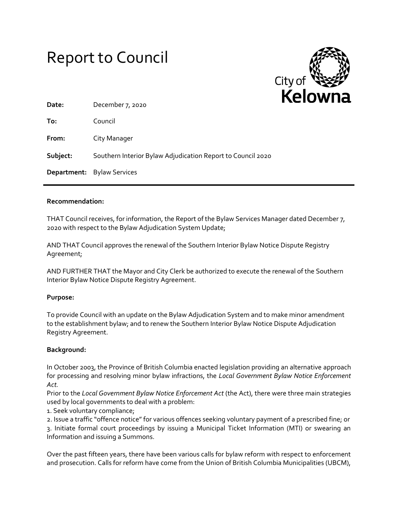



| Date:    | December 7, 2020                                            |
|----------|-------------------------------------------------------------|
| To:      | Council                                                     |
| From:    | City Manager                                                |
| Subject: | Southern Interior Bylaw Adjudication Report to Council 2020 |
|          | <b>Department:</b> Bylaw Services                           |

### **Recommendation:**

THAT Council receives, for information, the Report of the Bylaw Services Manager dated December 7, 2020 with respect to the Bylaw Adjudication System Update;

AND THAT Council approves the renewal of the Southern Interior Bylaw Notice Dispute Registry Agreement;

AND FURTHER THAT the Mayor and City Clerk be authorized to execute the renewal of the Southern Interior Bylaw Notice Dispute Registry Agreement.

#### **Purpose:**

To provide Council with an update on the Bylaw Adjudication System and to make minor amendment to the establishment bylaw; and to renew the Southern Interior Bylaw Notice Dispute Adjudication Registry Agreement.

#### **Background:**

In October 2003, the Province of British Columbia enacted legislation providing an alternative approach for processing and resolving minor bylaw infractions, the *Local Government Bylaw Notice Enforcement Act.*

Prior to the *Local Government Bylaw Notice Enforcement Act* (the Act), there were three main strategies used by local governments to deal with a problem:

1. Seek voluntary compliance;

2. Issue a traffic "offence notice" for various offences seeking voluntary payment of a prescribed fine; or 3. Initiate formal court proceedings by issuing a Municipal Ticket Information (MTI) or swearing an Information and issuing a Summons.

Over the past fifteen years, there have been various calls for bylaw reform with respect to enforcement and prosecution. Calls for reform have come from the Union of British Columbia Municipalities (UBCM),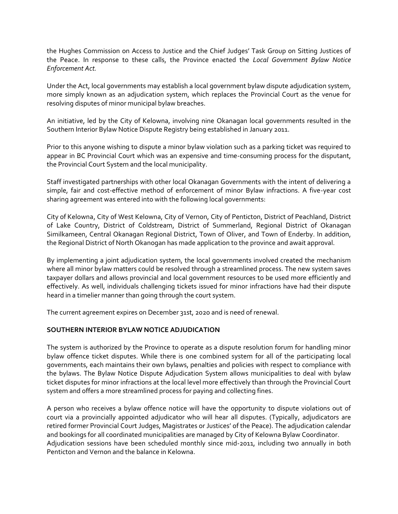the Hughes Commission on Access to Justice and the Chief Judges' Task Group on Sitting Justices of the Peace. In response to these calls, the Province enacted the *Local Government Bylaw Notice Enforcement Act.*

Under the Act, local governments may establish a local government bylaw dispute adjudication system, more simply known as an adjudication system, which replaces the Provincial Court as the venue for resolving disputes of minor municipal bylaw breaches.

An initiative, led by the City of Kelowna, involving nine Okanagan local governments resulted in the Southern Interior Bylaw Notice Dispute Registry being established in January 2011.

Prior to this anyone wishing to dispute a minor bylaw violation such as a parking ticket was required to appear in BC Provincial Court which was an expensive and time-consuming process for the disputant, the Provincial Court System and the local municipality.

Staff investigated partnerships with other local Okanagan Governments with the intent of delivering a simple, fair and cost-effective method of enforcement of minor Bylaw infractions. A five-year cost sharing agreement was entered into with the following local governments:

City of Kelowna, City of West Kelowna, City of Vernon, City of Penticton, District of Peachland, District of Lake Country, District of Coldstream, District of Summerland, Regional District of Okanagan Similkameen, Central Okanagan Regional District, Town of Oliver, and Town of Enderby. In addition, the Regional District of North Okanogan has made application to the province and await approval.

By implementing a joint adjudication system, the local governments involved created the mechanism where all minor bylaw matters could be resolved through a streamlined process. The new system saves taxpayer dollars and allows provincial and local government resources to be used more efficiently and effectively. As well, individuals challenging tickets issued for minor infractions have had their dispute heard in a timelier manner than going through the court system.

The current agreement expires on December 31st, 2020 and is need of renewal.

## **SOUTHERN INTERIOR BYLAW NOTICE ADJUDICATION**

The system is authorized by the Province to operate as a dispute resolution forum for handling minor bylaw offence ticket disputes. While there is one combined system for all of the participating local governments, each maintains their own bylaws, penalties and policies with respect to compliance with the bylaws. The Bylaw Notice Dispute Adjudication System allows municipalities to deal with bylaw ticket disputes for minor infractions at the local level more effectively than through the Provincial Court system and offers a more streamlined process for paying and collecting fines.

A person who receives a bylaw offence notice will have the opportunity to dispute violations out of court via a provincially appointed adjudicator who will hear all disputes. (Typically, adjudicators are retired former Provincial Court Judges, Magistrates or Justices' of the Peace). The adjudication calendar and bookings for all coordinated municipalities are managed by City of Kelowna Bylaw Coordinator. Adjudication sessions have been scheduled monthly since mid-2011, including two annually in both Penticton and Vernon and the balance in Kelowna.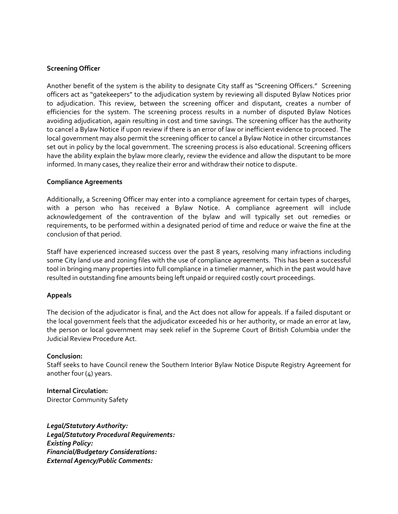## **Screening Officer**

Another benefit of the system is the ability to designate City staff as "Screening Officers." Screening officers act as "gatekeepers" to the adjudication system by reviewing all disputed Bylaw Notices prior to adjudication. This review, between the screening officer and disputant, creates a number of efficiencies for the system. The screening process results in a number of disputed Bylaw Notices avoiding adjudication, again resulting in cost and time savings. The screening officer has the authority to cancel a Bylaw Notice if upon review if there is an error of law or inefficient evidence to proceed. The local government may also permit the screening officer to cancel a Bylaw Notice in other circumstances set out in policy by the local government. The screening process is also educational. Screening officers have the ability explain the bylaw more clearly, review the evidence and allow the disputant to be more informed. In many cases, they realize their error and withdraw their notice to dispute.

#### **Compliance Agreements**

Additionally, a Screening Officer may enter into a compliance agreement for certain types of charges, with a person who has received a Bylaw Notice. A compliance agreement will include acknowledgement of the contravention of the bylaw and will typically set out remedies or requirements, to be performed within a designated period of time and reduce or waive the fine at the conclusion of that period.

Staff have experienced increased success over the past 8 years, resolving many infractions including some City land use and zoning files with the use of compliance agreements. This has been a successful tool in bringing many properties into full compliance in a timelier manner, which in the past would have resulted in outstanding fine amounts being left unpaid or required costly court proceedings.

#### **Appeals**

The decision of the adjudicator is final, and the Act does not allow for appeals. If a failed disputant or the local government feels that the adjudicator exceeded his or her authority, or made an error at law, the person or local government may seek relief in the Supreme Court of British Columbia under the Judicial Review Procedure Act.

#### **Conclusion:**

Staff seeks to have Council renew the Southern Interior Bylaw Notice Dispute Registry Agreement for another four (4) years.

**Internal Circulation:** Director Community Safety

*Legal/Statutory Authority: Legal/Statutory Procedural Requirements: Existing Policy: Financial/Budgetary Considerations: External Agency/Public Comments:*